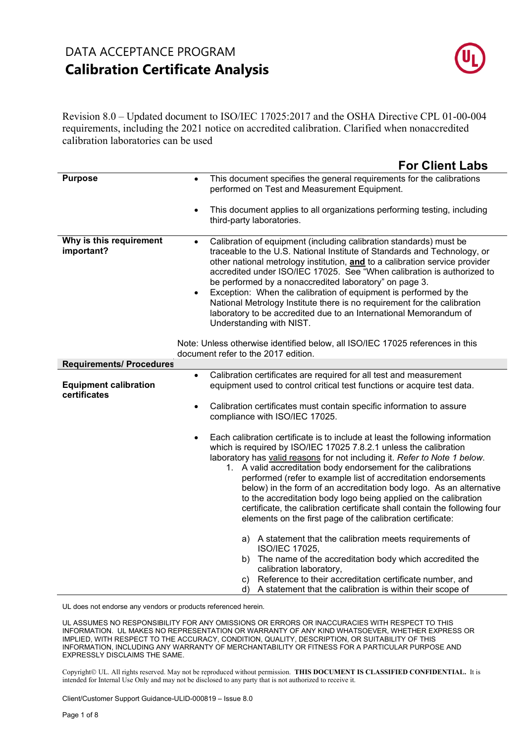

Revision 8.0 – Updated document to ISO/IEC 17025:2017 and the OSHA Directive CPL 01-00-004 requirements, including the 2021 notice on accredited calibration. Clarified when nonaccredited calibration laboratories can be used

|                                              | <b>For Client Labs</b>                                                                                                                                                                                                                                                                                                                                                                                                                                                                                                                                                                                                                                   |
|----------------------------------------------|----------------------------------------------------------------------------------------------------------------------------------------------------------------------------------------------------------------------------------------------------------------------------------------------------------------------------------------------------------------------------------------------------------------------------------------------------------------------------------------------------------------------------------------------------------------------------------------------------------------------------------------------------------|
| <b>Purpose</b>                               | This document specifies the general requirements for the calibrations<br>$\bullet$<br>performed on Test and Measurement Equipment.                                                                                                                                                                                                                                                                                                                                                                                                                                                                                                                       |
|                                              | This document applies to all organizations performing testing, including<br>$\bullet$<br>third-party laboratories.                                                                                                                                                                                                                                                                                                                                                                                                                                                                                                                                       |
| Why is this requirement<br>important?        | Calibration of equipment (including calibration standards) must be<br>$\bullet$<br>traceable to the U.S. National Institute of Standards and Technology, or<br>other national metrology institution, and to a calibration service provider<br>accredited under ISO/IEC 17025. See "When calibration is authorized to<br>be performed by a nonaccredited laboratory" on page 3.<br>Exception: When the calibration of equipment is performed by the<br>National Metrology Institute there is no requirement for the calibration<br>laboratory to be accredited due to an International Memorandum of<br>Understanding with NIST.                          |
|                                              | Note: Unless otherwise identified below, all ISO/IEC 17025 references in this<br>document refer to the 2017 edition.                                                                                                                                                                                                                                                                                                                                                                                                                                                                                                                                     |
| <b>Requirements/ Procedures</b>              |                                                                                                                                                                                                                                                                                                                                                                                                                                                                                                                                                                                                                                                          |
| <b>Equipment calibration</b><br>certificates | Calibration certificates are required for all test and measurement<br>$\bullet$<br>equipment used to control critical test functions or acquire test data.                                                                                                                                                                                                                                                                                                                                                                                                                                                                                               |
|                                              | Calibration certificates must contain specific information to assure<br>$\bullet$<br>compliance with ISO/IEC 17025.                                                                                                                                                                                                                                                                                                                                                                                                                                                                                                                                      |
|                                              | Each calibration certificate is to include at least the following information<br>which is required by ISO/IEC 17025 7.8.2.1 unless the calibration<br>laboratory has valid reasons for not including it. Refer to Note 1 below.<br>1. A valid accreditation body endorsement for the calibrations<br>performed (refer to example list of accreditation endorsements<br>below) in the form of an accreditation body logo. As an alternative<br>to the accreditation body logo being applied on the calibration<br>certificate, the calibration certificate shall contain the following four<br>elements on the first page of the calibration certificate: |
|                                              | a) A statement that the calibration meets requirements of<br><b>ISO/IEC 17025.</b>                                                                                                                                                                                                                                                                                                                                                                                                                                                                                                                                                                       |
|                                              | b) The name of the accreditation body which accredited the<br>calibration laboratory,                                                                                                                                                                                                                                                                                                                                                                                                                                                                                                                                                                    |
|                                              | c) Reference to their accreditation certificate number, and<br>d) A statement that the calibration is within their scope of                                                                                                                                                                                                                                                                                                                                                                                                                                                                                                                              |

UL does not endorse any vendors or products referenced herein.

UL ASSUMES NO RESPONSIBILITY FOR ANY OMISSIONS OR ERRORS OR INACCURACIES WITH RESPECT TO THIS INFORMATION. UL MAKES NO REPRESENTATION OR WARRANTY OF ANY KIND WHATSOEVER, WHETHER EXPRESS OR IMPLIED, WITH RESPECT TO THE ACCURACY, CONDITION, QUALITY, DESCRIPTION, OR SUITABILITY OF THIS INFORMATION, INCLUDING ANY WARRANTY OF MERCHANTABILITY OR FITNESS FOR A PARTICULAR PURPOSE AND EXPRESSLY DISCLAIMS THE SAME.

Copyright© UL. All rights reserved. May not be reproduced without permission. THIS DOCUMENT IS CLASSIFIED CONFIDENTIAL. It is intended for Internal Use Only and may not be disclosed to any party that is not authorized to receive it.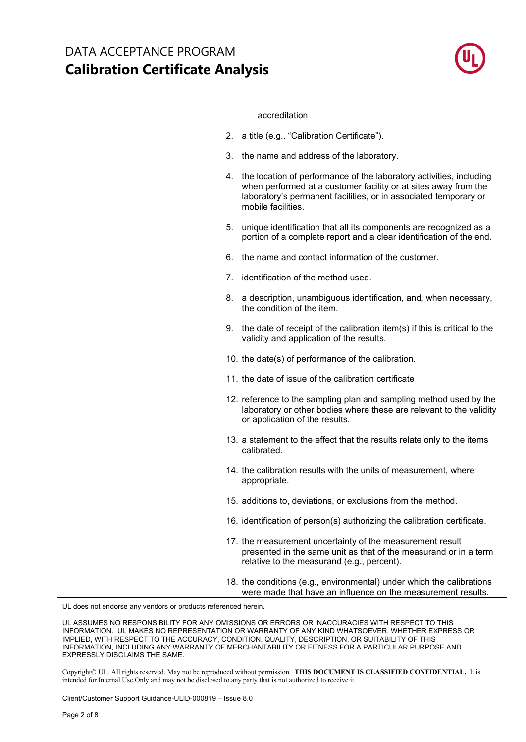

#### accreditation

- 2. a title (e.g., "Calibration Certificate").
- 3. the name and address of the laboratory.
- 4. the location of performance of the laboratory activities, including when performed at a customer facility or at sites away from the laboratory's permanent facilities, or in associated temporary or mobile facilities.
- 5. unique identification that all its components are recognized as a portion of a complete report and a clear identification of the end.
- 6. the name and contact information of the customer.
- 7. identification of the method used.
- 8. a description, unambiguous identification, and, when necessary, the condition of the item.
- 9. the date of receipt of the calibration item(s) if this is critical to the validity and application of the results.
- 10. the date(s) of performance of the calibration.
- 11. the date of issue of the calibration certificate
- 12. reference to the sampling plan and sampling method used by the laboratory or other bodies where these are relevant to the validity or application of the results.
- 13. a statement to the effect that the results relate only to the items calibrated.
- 14. the calibration results with the units of measurement, where appropriate.
- 15. additions to, deviations, or exclusions from the method.
- 16. identification of person(s) authorizing the calibration certificate.
- 17. the measurement uncertainty of the measurement result presented in the same unit as that of the measurand or in a term relative to the measurand (e.g., percent).
- 18. the conditions (e.g., environmental) under which the calibrations were made that have an influence on the measurement results.

UL does not endorse any vendors or products referenced herein.

UL ASSUMES NO RESPONSIBILITY FOR ANY OMISSIONS OR ERRORS OR INACCURACIES WITH RESPECT TO THIS INFORMATION. UL MAKES NO REPRESENTATION OR WARRANTY OF ANY KIND WHATSOEVER, WHETHER EXPRESS OR IMPLIED, WITH RESPECT TO THE ACCURACY, CONDITION, QUALITY, DESCRIPTION, OR SUITABILITY OF THIS INFORMATION, INCLUDING ANY WARRANTY OF MERCHANTABILITY OR FITNESS FOR A PARTICULAR PURPOSE AND EXPRESSLY DISCLAIMS THE SAME.

Copyright© UL. All rights reserved. May not be reproduced without permission. THIS DOCUMENT IS CLASSIFIED CONFIDENTIAL. It is intended for Internal Use Only and may not be disclosed to any party that is not authorized to receive it.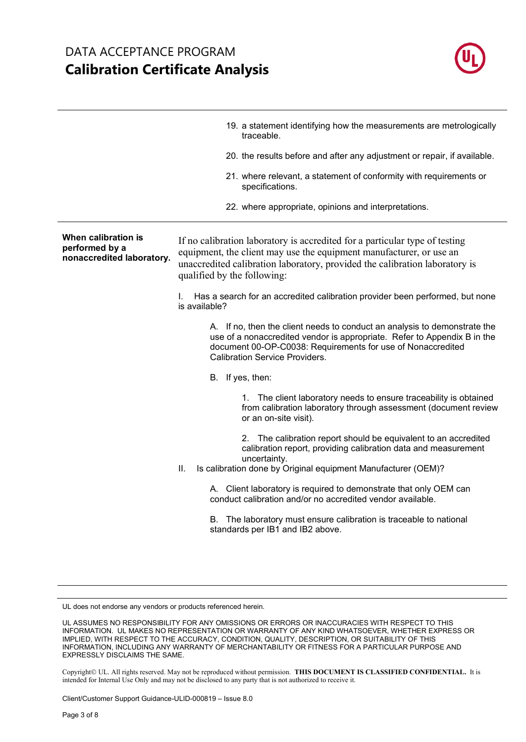

|                                                                    | 19. a statement identifying how the measurements are metrologically<br>traceable.                                                                                                                                                                                |
|--------------------------------------------------------------------|------------------------------------------------------------------------------------------------------------------------------------------------------------------------------------------------------------------------------------------------------------------|
|                                                                    | 20. the results before and after any adjustment or repair, if available.                                                                                                                                                                                         |
|                                                                    | 21. where relevant, a statement of conformity with requirements or<br>specifications.                                                                                                                                                                            |
|                                                                    | 22. where appropriate, opinions and interpretations.                                                                                                                                                                                                             |
| When calibration is<br>performed by a<br>nonaccredited laboratory. | If no calibration laboratory is accredited for a particular type of testing<br>equipment, the client may use the equipment manufacturer, or use an<br>unaccredited calibration laboratory, provided the calibration laboratory is<br>qualified by the following: |
|                                                                    | Has a search for an accredited calibration provider been performed, but none<br>L.<br>is available?                                                                                                                                                              |
|                                                                    | A. If no, then the client needs to conduct an analysis to demonstrate the<br>use of a nonaccredited vendor is appropriate. Refer to Appendix B in the<br>document 00-OP-C0038: Requirements for use of Nonaccredited<br><b>Calibration Service Providers.</b>    |
|                                                                    | B. If yes, then:                                                                                                                                                                                                                                                 |
|                                                                    | 1. The client laboratory needs to ensure traceability is obtained<br>from calibration laboratory through assessment (document review<br>or an on-site visit).                                                                                                    |
|                                                                    | 2. The calibration report should be equivalent to an accredited<br>calibration report, providing calibration data and measurement<br>uncertainty.<br>Ш.<br>Is calibration done by Original equipment Manufacturer (OEM)?                                         |
|                                                                    | A. Client laboratory is required to demonstrate that only OEM can<br>conduct calibration and/or no accredited vendor available.                                                                                                                                  |
|                                                                    | B. The laboratory must ensure calibration is traceable to national<br>standards per IB1 and IB2 above.                                                                                                                                                           |

Copyright© UL. All rights reserved. May not be reproduced without permission. THIS DOCUMENT IS CLASSIFIED CONFIDENTIAL. It is intended for Internal Use Only and may not be disclosed to any party that is not authorized to receive it.

UL does not endorse any vendors or products referenced herein.

UL ASSUMES NO RESPONSIBILITY FOR ANY OMISSIONS OR ERRORS OR INACCURACIES WITH RESPECT TO THIS INFORMATION. UL MAKES NO REPRESENTATION OR WARRANTY OF ANY KIND WHATSOEVER, WHETHER EXPRESS OR IMPLIED, WITH RESPECT TO THE ACCURACY, CONDITION, QUALITY, DESCRIPTION, OR SUITABILITY OF THIS INFORMATION, INCLUDING ANY WARRANTY OF MERCHANTABILITY OR FITNESS FOR A PARTICULAR PURPOSE AND EXPRESSLY DISCLAIMS THE SAME.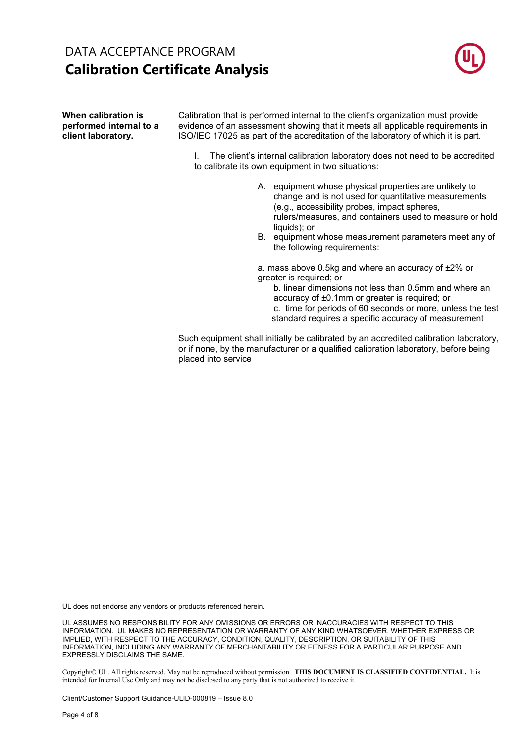

| When calibration is<br>performed internal to a<br>client laboratory. | Calibration that is performed internal to the client's organization must provide<br>evidence of an assessment showing that it meets all applicable requirements in<br>ISO/IEC 17025 as part of the accreditation of the laboratory of which it is part.                                                        |
|----------------------------------------------------------------------|----------------------------------------------------------------------------------------------------------------------------------------------------------------------------------------------------------------------------------------------------------------------------------------------------------------|
|                                                                      | The client's internal calibration laboratory does not need to be accredited<br>L.<br>to calibrate its own equipment in two situations:                                                                                                                                                                         |
|                                                                      | A. equipment whose physical properties are unlikely to<br>change and is not used for quantitative measurements<br>(e.g., accessibility probes, impact spheres,<br>rulers/measures, and containers used to measure or hold<br>liquids); or<br>B. equipment whose measurement parameters meet any of             |
|                                                                      | the following requirements:                                                                                                                                                                                                                                                                                    |
|                                                                      | a. mass above 0.5kg and where an accuracy of ±2% or<br>greater is required; or<br>b. linear dimensions not less than 0.5mm and where an<br>accuracy of ±0.1mm or greater is required; or<br>c. time for periods of 60 seconds or more, unless the test<br>standard requires a specific accuracy of measurement |
|                                                                      | Such equipment shall initially be calibrated by an accredited calibration laboratory,<br>or if none, by the manufacturer or a qualified calibration laboratory, before being<br>placed into service                                                                                                            |

UL does not endorse any vendors or products referenced herein.

UL ASSUMES NO RESPONSIBILITY FOR ANY OMISSIONS OR ERRORS OR INACCURACIES WITH RESPECT TO THIS INFORMATION. UL MAKES NO REPRESENTATION OR WARRANTY OF ANY KIND WHATSOEVER, WHETHER EXPRESS OR IMPLIED, WITH RESPECT TO THE ACCURACY, CONDITION, QUALITY, DESCRIPTION, OR SUITABILITY OF THIS INFORMATION, INCLUDING ANY WARRANTY OF MERCHANTABILITY OR FITNESS FOR A PARTICULAR PURPOSE AND EXPRESSLY DISCLAIMS THE SAME.

Copyright© UL. All rights reserved. May not be reproduced without permission. THIS DOCUMENT IS CLASSIFIED CONFIDENTIAL. It is intended for Internal Use Only and may not be disclosed to any party that is not authorized to receive it.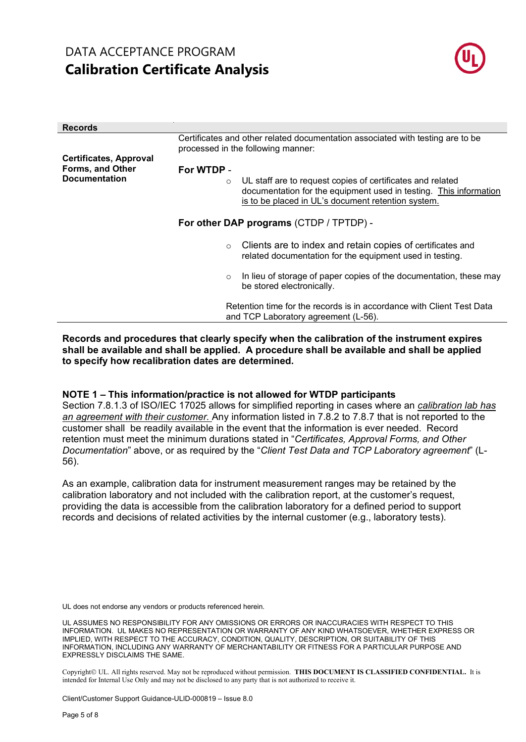

| <b>Records</b>                           |                                                                                                                                                                                                  |  |  |  |  |  |  |
|------------------------------------------|--------------------------------------------------------------------------------------------------------------------------------------------------------------------------------------------------|--|--|--|--|--|--|
|                                          | Certificates and other related documentation associated with testing are to be<br>processed in the following manner:                                                                             |  |  |  |  |  |  |
| <b>Certificates, Approval</b>            |                                                                                                                                                                                                  |  |  |  |  |  |  |
| Forms, and Other<br><b>Documentation</b> | For WTDP -                                                                                                                                                                                       |  |  |  |  |  |  |
|                                          | UL staff are to request copies of certificates and related<br>$\circ$<br>documentation for the equipment used in testing. This information<br>is to be placed in UL's document retention system. |  |  |  |  |  |  |
| For other DAP programs (CTDP / TPTDP) -  |                                                                                                                                                                                                  |  |  |  |  |  |  |
|                                          | Clients are to index and retain copies of certificates and<br>$\circ$<br>related documentation for the equipment used in testing.                                                                |  |  |  |  |  |  |
|                                          | In lieu of storage of paper copies of the documentation, these may<br>$\circ$<br>be stored electronically.                                                                                       |  |  |  |  |  |  |
|                                          | Retention time for the records is in accordance with Client Test Data<br>and TCP Laboratory agreement (L-56).                                                                                    |  |  |  |  |  |  |
|                                          |                                                                                                                                                                                                  |  |  |  |  |  |  |

#### **Records and procedures that clearly specify when the calibration of the instrument expires shall be available and shall be applied. A procedure shall be available and shall be applied to specify how recalibration dates are determined.**

### **NOTE 1 – This information/practice is not allowed for WTDP participants**

Section 7.8.1.3 of ISO/IEC 17025 allows for simplified reporting in cases where an *calibration lab has an agreement with their customer.* Any information listed in 7.8.2 to 7.8.7 that is not reported to the customer shall be readily available in the event that the information is ever needed. Record retention must meet the minimum durations stated in "*Certificates, Approval Forms, and Other Documentation*" above, or as required by the "*Client Test Data and TCP Laboratory agreement*" (L-56).

As an example, calibration data for instrument measurement ranges may be retained by the calibration laboratory and not included with the calibration report, at the customer's request, providing the data is accessible from the calibration laboratory for a defined period to support records and decisions of related activities by the internal customer (e.g., laboratory tests).

UL does not endorse any vendors or products referenced herein.

UL ASSUMES NO RESPONSIBILITY FOR ANY OMISSIONS OR ERRORS OR INACCURACIES WITH RESPECT TO THIS INFORMATION. UL MAKES NO REPRESENTATION OR WARRANTY OF ANY KIND WHATSOEVER, WHETHER EXPRESS OR IMPLIED, WITH RESPECT TO THE ACCURACY, CONDITION, QUALITY, DESCRIPTION, OR SUITABILITY OF THIS INFORMATION, INCLUDING ANY WARRANTY OF MERCHANTABILITY OR FITNESS FOR A PARTICULAR PURPOSE AND EXPRESSLY DISCLAIMS THE SAME.

Copyright© UL. All rights reserved. May not be reproduced without permission. THIS DOCUMENT IS CLASSIFIED CONFIDENTIAL. It is intended for Internal Use Only and may not be disclosed to any party that is not authorized to receive it.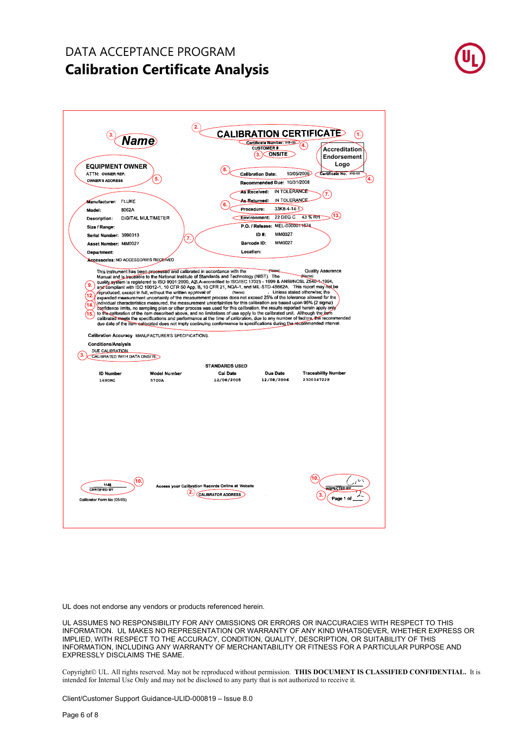

UL does not endorse any vendors or products referenced herein.

UL ASSUMES NO RESPONSIBILITY FOR ANY OMISSIONS OR ERRORS OR INACCURACIES WITH RESPECT TO THIS INFORMATION. UL MAKES NO REPRESENTATION OR WARRANTY OF ANY KIND WHATSOEVER, WHETHER EXPRESS OR IMPLIED, WITH RESPECT TO THE ACCURACY, CONDITION, QUALITY, DESCRIPTION, OR SUITABILITY OF THIS INFORMATION, INCLUDING ANY WARRANTY OF MERCHANTABILITY OR FITNESS FOR A PARTICULAR PURPOSE AND EXPRESSLY DISCLAIMS THE SAME.

Copyright UL. All rights reserved. May not be reproduced without permission. **THIS DOCUMENT IS CLASSIFIED CONFIDENTIAL.** It is intended for Internal Use Only and may not be disclosed to any party that is not authorized to receive it.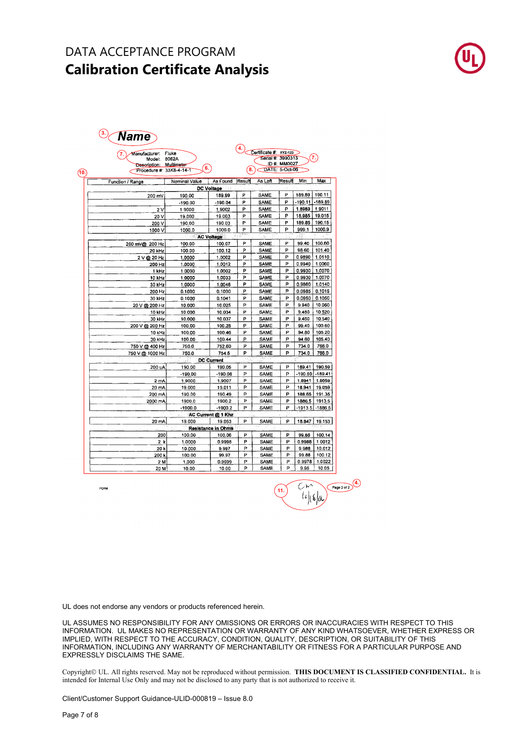| Manufacturer:<br>Model:<br>Description: Multimeter<br>Procedure #: 33K8-4-14-1 | Fluke<br>8062A<br>6. |                           | 4.<br>8. | Certificate #: XYZ-123     | Serial #: 3990313<br>ID #: MM0027<br>DATE: 5-Oct-06 |                 | 7.        |
|--------------------------------------------------------------------------------|----------------------|---------------------------|----------|----------------------------|-----------------------------------------------------|-----------------|-----------|
|                                                                                |                      |                           | Result   | As Left                    | Result                                              | Min             | Max       |
| Function / Range                                                               | Nominal Value        | As Found<br>DC Voltage    |          |                            |                                                     |                 |           |
| 200 mV                                                                         | 190.00               | 189.99                    | P        | SAME                       | P                                                   | 189.89          | 190.11    |
|                                                                                | $-190.00$            | $-190.04$                 | P        | SAME                       | P                                                   | $-190.11$       | $-189.89$ |
| 2V                                                                             | 1.9000               | 1.9002                    | P        | SAME                       | P                                                   | 1.8989          | 1.9011    |
| 20 V                                                                           | 19.000               | 19.003                    | P        | SAME                       | Р                                                   | 18.985          | 19.015    |
| 200 V                                                                          | 190.00               | 190.03                    | P        | SAME                       | P                                                   | 189.85          | 190.15    |
| 1000 V                                                                         | 1000.0               | 1000.0                    | P        | SAME                       | P                                                   | 999.1           | 1000.9    |
|                                                                                | AC Voltage           |                           |          | $\mathcal{C}_{\mathrm{F}}$ | Ωû                                                  | 411             |           |
| 200 mV@ 200 Hz                                                                 | 100.00               | 100.07                    | P        | <b>SAME</b>                | P                                                   | 99.40           | 100.60    |
| 20 kHz                                                                         | 100.00               | 100.12                    | P        | SAME                       | P                                                   | 98.60           | 101.40    |
| 2 V @ 20 Hz                                                                    | 1.0000               | 1.0002                    | P        | <b>SAME</b>                | Р                                                   | 0.9890          | 1.0110    |
| 200 Hz                                                                         | 1.0000               | 1.0012                    | P        | SAME                       | P                                                   | 0.9940          | 1.0060    |
| 1 kHz                                                                          | 1.0000               | 1.0002                    | P        | SAME                       | P                                                   | 0.9930          | 1.0070    |
| 10 kHz                                                                         | 1.0000               | 1.0033                    | P        | SAME                       | P                                                   | 0.9930          | 1.0070    |
| 30 kHz                                                                         | 1.0000               | 1.0046                    | P        | SAME                       | P                                                   | 0.9860          | 1.0140    |
| 200 Hz                                                                         | 0.1000               | 0.1000                    | P        | SAME                       | P                                                   | 0.0985          | 0.1015    |
| 30 kHz                                                                         | 0.1000               | 0.1041                    | P        | SAME                       | Р                                                   | 0.0950          | 0.1050    |
| 20 V @ 200 Hz                                                                  | 10.000               | 10.025                    | P        | SAME                       | P                                                   | 9.940           | 10.060    |
| 10 kHz                                                                         | 10.000               | 10.034                    | Þ        | SAME                       | P                                                   | 9.480           | 10.520    |
| 30 kHz                                                                         | 10,000               | 10.037                    | P        | SAME                       | Р                                                   | 9,460           | 10.540    |
| 200 V @ 200 Hz                                                                 | 100.00               | 100.28                    | P        | SAME                       | P                                                   | 99.40           | 100.60    |
| 10 kHz                                                                         | 100.00               | 100.46                    | P        | SAME                       | P                                                   | 94.80           | 105.20    |
| 30 kHz                                                                         | 100.00               | 100.44                    | P        | SAME                       | P                                                   | 94.60           | 105.40    |
| 750 V @ 400 Hz                                                                 | 750.0                | 752.60                    | P        | <b>SAME</b>                | P                                                   | 734.0           | 766.0     |
| 750 V @ 1000 Hz                                                                | 750.0                | 754.5                     | P        | SAME                       | P                                                   | 734.0           | 766.0     |
| h                                                                              |                      | <b>DC Current</b>         |          |                            |                                                     |                 |           |
| 200 uA                                                                         | 190.00               | 190.05                    | P        | SAME                       | P                                                   | 189.41          | 190.59    |
|                                                                                | $-190.00$            | $-190.06$                 | P        | SAME                       | P                                                   | -190.59 -189.41 |           |
| 2mA                                                                            | 1.9000               | 1,9007                    | P        | SAME                       | P                                                   | 1.8941          | 1.9059    |
| 20 mA                                                                          | 19.000               | 19.011                    | P        | SAME                       | P                                                   | 18.941          | 19.059    |
| 200 mA                                                                         | 190.00               | 190.49                    | P        | <b>SAME</b>                | P                                                   | 188.65          | 191.35    |
| 2000 mA                                                                        | 1900.0               | 1900.2                    | Þ        | <b>SAME</b>                | P                                                   | 1886.5          | 1913.5    |
|                                                                                | $-1900.0$            | $-1900.2$                 | P        | SAME                       | P                                                   | -1913.5         | $-1886.5$ |
|                                                                                |                      | AC Current @ 1 Khz        |          |                            |                                                     |                 |           |
| 20 mA                                                                          | 19.000               | 19.053                    | P        | SAME                       | P                                                   | 18.847          | 19.153    |
|                                                                                |                      | <b>Resistance in Ohms</b> |          |                            |                                                     |                 |           |
| 200                                                                            | 100.00               | 100.06                    | P        | SAME                       | P                                                   | 99.86           | 100.14    |
| 2k                                                                             | 1.0000               | 0.9998                    | P        | SAME                       | P                                                   | 0.9988          | 1.0012    |
| 20 k                                                                           | 10.000               | 9.997                     | P        | SAME                       | Р                                                   | 9.988           | 10,012    |
| 200 k                                                                          | 100.00               | 99.97                     | P        | SAME                       | P                                                   | 99.88           | 100.12    |
| 2 M                                                                            | 1.000                | 0.9999                    | P        | SAME                       | P                                                   | 0.9978          | 1.0022    |
| 20 M                                                                           | 10.00                | 10.00                     | P        | SAME                       | P                                                   | 9.95            | 10.05     |

FORM



UL does not endorse any vendors or products referenced herein.

UL ASSUMES NO RESPONSIBILITY FOR ANY OMISSIONS OR ERRORS OR INACCURACIES WITH RESPECT TO THIS INFORMATION. UL MAKES NO REPRESENTATION OR WARRANTY OF ANY KIND WHATSOEVER, WHETHER EXPRESS OR IMPLIED, WITH RESPECT TO THE ACCURACY, CONDITION, QUALITY, DESCRIPTION, OR SUITABILITY OF THIS INFORMATION, INCLUDING ANY WARRANTY OF MERCHANTABILITY OR FITNESS FOR A PARTICULAR PURPOSE AND EXPRESSLY DISCLAIMS THE SAME.

Copyright© UL. All rights reserved. May not be reproduced without permission. THIS DOCUMENT IS CLASSIFIED CONFIDENTIAL. It is intended for Internal Use Only and may not be disclosed to any party that is not authorized to receive it.